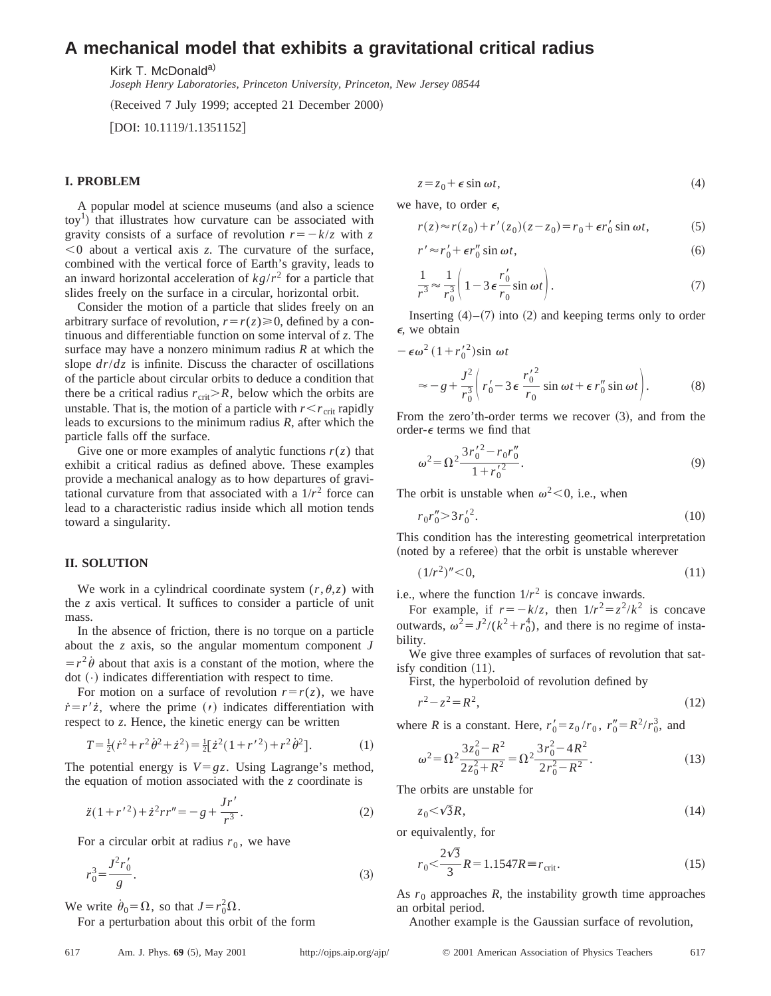# **A mechanical model that exhibits a gravitational critical radius**

Kirk T. McDonald<sup>a)</sup>

*Joseph Henry Laboratories, Princeton University, Princeton, New Jersey 08544*

(Received 7 July 1999; accepted 21 December 2000)

 $[$ DOI: 10.1119/1.1351152 $]$ 

### **I. PROBLEM**

A popular model at science museums (and also a science  $\text{toy}^1$ ) that illustrates how curvature can be associated with gravity consists of a surface of revolution  $r=-k/z$  with *z*  $<$ 0 about a vertical axis  $z$ . The curvature of the surface, combined with the vertical force of Earth's gravity, leads to an inward horizontal acceleration of  $k g/r^2$  for a particle that slides freely on the surface in a circular, horizontal orbit.

Consider the motion of a particle that slides freely on an arbitrary surface of revolution,  $r=r(z)\geq0$ , defined by a continuous and differentiable function on some interval of *z*. The surface may have a nonzero minimum radius *R* at which the slope *dr*/*dz* is infinite. Discuss the character of oscillations of the particle about circular orbits to deduce a condition that there be a critical radius  $r_{\text{crit}} > R$ , below which the orbits are unstable. That is, the motion of a particle with  $r < r_{\rm crit}$  rapidly leads to excursions to the minimum radius *R*, after which the particle falls off the surface.

Give one or more examples of analytic functions  $r(z)$  that exhibit a critical radius as defined above. These examples provide a mechanical analogy as to how departures of gravitational curvature from that associated with a  $1/r^2$  force can lead to a characteristic radius inside which all motion tends toward a singularity.

#### **II. SOLUTION**

We work in a cylindrical coordinate system  $(r, \theta, z)$  with the *z* axis vertical. It suffices to consider a particle of unit mass.

In the absence of friction, there is no torque on a particle about the *z* axis, so the angular momentum component *J*  $=r^2\dot{\theta}$  about that axis is a constant of the motion, where the dot  $(·)$  indicates differentiation with respect to time.

For motion on a surface of revolution  $r=r(z)$ , we have  $\dot{r} = r' \dot{z}$ , where the prime (*t*) indicates differentiation with  $\dot{r} = r' \dot{z}$ , where the prime (*t*) indicates differentiation respect to *z*. Hence, the kinetic energy can be written

$$
T = \frac{1}{2}(\dot{r}^2 + r^2\dot{\theta}^2 + \dot{z}^2) = \frac{1}{2}[\dot{z}^2(1 + r^2) + r^2\dot{\theta}^2].
$$
 (1)

The potential energy is  $V = gz$ . Using Lagrange's method, the equation of motion associated with the *z* coordinate is

$$
\ddot{z}(1+r^{\prime 2}) + \dot{z}^2rr'' = -g + \frac{Jr'}{r^3}.
$$
 (2)

For a circular orbit at radius  $r_0$ , we have

$$
r_0^3 = \frac{J^2 r'_0}{g}.
$$
 (3)

We write  $\dot{\theta}_0 = \Omega$ , so that  $J = r_0^2 \Omega$ .

For a perturbation about this orbit of the form

 $z = z_0 + \epsilon \sin \omega t,$  (4)

we have, to order  $\epsilon$ ,

$$
r(z) \approx r(z_0) + r'(z_0)(z - z_0) = r_0 + \epsilon r'_0 \sin \omega t, \tag{5}
$$

$$
r' \approx r'_0 + \epsilon r''_0 \sin \omega t, \tag{6}
$$

$$
\frac{1}{r^3} \approx \frac{1}{r_0^3} \left( 1 - 3 \epsilon \frac{r'_0}{r_0} \sin \omega t \right).
$$
 (7)

Inserting  $(4)$ – $(7)$  into  $(2)$  and keeping terms only to order  $\epsilon$ , we obtain

$$
-\epsilon \omega^2 (1 + {r'_0}^2) \sin \omega t
$$

$$
\approx -g + \frac{J^2}{r_0^3} \left( r_0' - 3 \epsilon \frac{r_0'^2}{r_0} \sin \omega t + \epsilon r_0'' \sin \omega t \right). \tag{8}
$$

From the zero'th-order terms we recover  $(3)$ , and from the order- $\epsilon$  terms we find that

$$
\omega^2 = \Omega^2 \frac{3r_0'^2 - r_0r_0''}{1 + r_0'^2}.
$$
\n(9)

The orbit is unstable when  $\omega^2$  < 0, i.e., when

$$
r_0 r_0'' \ge 3 r_0'^2. \tag{10}
$$

This condition has the interesting geometrical interpretation (noted by a referee) that the orbit is unstable wherever

$$
(1/r^2)''<0,\t(11)
$$

i.e., where the function  $1/r^2$  is concave inwards.

For example, if  $r=-k/z$ , then  $1/r^2=z^2/k^2$  is concave outwards,  $\omega^2 = J^2/(k^2 + r_0^4)$ , and there is no regime of instability.

We give three examples of surfaces of revolution that satisfy condition  $(11)$ .

First, the hyperboloid of revolution defined by

$$
r^2 - z^2 = R^2,\tag{12}
$$

where *R* is a constant. Here,  $r'_0 = z_0/r_0$ ,  $r''_0 = R^2/r_0^3$ , and

$$
\omega^2 = \Omega^2 \frac{3z_0^2 - R^2}{2z_0^2 + R^2} = \Omega^2 \frac{3r_0^2 - 4R^2}{2r_0^2 - R^2}.
$$
 (13)

The orbits are unstable for

$$
z_0 \leq \sqrt{3}R,\tag{14}
$$

or equivalently, for  $\overline{z}$ 

$$
r_0 < \frac{2\sqrt{3}}{3}R = 1.1547R \equiv r_{\text{crit}}.\tag{15}
$$

As  $r_0$  approaches  $R$ , the instability growth time approaches an orbital period.

Another example is the Gaussian surface of revolution,